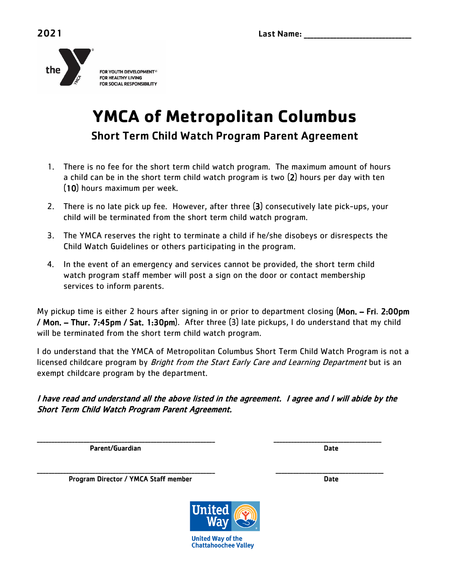

## **YMCA of Metropolitan Columbus** Short Term Child Watch Program Parent Agreement

- 1. There is no fee for the short term child watch program. The maximum amount of hours a child can be in the short term child watch program is two (2) hours per day with ten (10) hours maximum per week.
- 2. There is no late pick up fee. However, after three (3) consecutively late pick-ups, your child will be terminated from the short term child watch program.
- 3. The YMCA reserves the right to terminate a child if he/she disobeys or disrespects the Child Watch Guidelines or others participating in the program.
- 4. In the event of an emergency and services cannot be provided, the short term child watch program staff member will post a sign on the door or contact membership services to inform parents.

My pickup time is either 2 hours after signing in or prior to department closing (Mon. – Fri. 2:00pm / Mon. – Thur. 7:45pm / Sat. 1:30pm). After three (3) late pickups, I do understand that my child will be terminated from the short term child watch program.

I do understand that the YMCA of Metropolitan Columbus Short Term Child Watch Program is not a licensed childcare program by *Bright from the Start Early Care and Learning Department* but is an exempt childcare program by the department.

I have read and understand all the above listed in the agreement. I agree and I will abide by the Short Term Child Watch Program Parent Agreement.

\_\_\_\_\_\_\_\_\_\_\_\_\_\_\_\_\_\_\_\_\_\_\_\_\_\_\_\_\_\_\_\_\_\_\_\_\_\_\_\_\_\_\_\_\_\_\_\_\_\_\_\_\_\_\_\_\_\_\_\_\_ \_\_\_\_\_\_\_\_\_\_\_\_\_\_\_\_\_\_\_\_\_\_\_\_\_\_\_\_\_\_\_\_\_\_\_\_\_

Parent/Guardian Date Date of the Contract of the Contract of the Date Date Date of the Date of the Date of the

\_\_\_\_\_\_\_\_\_\_\_\_\_\_\_\_\_\_\_\_\_\_\_\_\_\_\_\_\_\_\_\_\_\_\_\_\_\_\_\_\_\_\_\_\_\_\_\_\_\_\_\_\_\_\_\_\_\_\_\_\_ \_\_\_\_\_\_\_\_\_\_\_\_\_\_\_\_\_\_\_\_\_\_\_\_\_\_\_\_\_\_\_\_\_\_\_\_\_ Program Director / YMCA Staff member Date Date

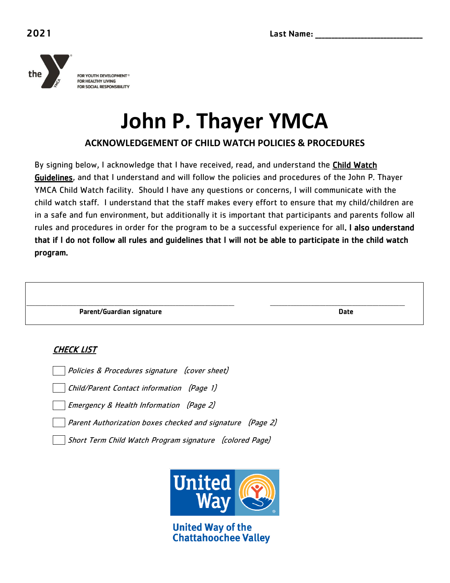

# **John P. Thayer YMCA**

**ACKNOWLEDGEMENT OF CHILD WATCH POLICIES & PROCEDURES**

By signing below, I acknowledge that I have received, read, and understand the **Child Watch** Guidelines, and that I understand and will follow the policies and procedures of the John P. Thayer YMCA Child Watch facility. Should I have any questions or concerns, I will communicate with the child watch staff. I understand that the staff makes every effort to ensure that my child/children are in a safe and fun environment, but additionally it is important that participants and parents follow all rules and procedures in order for the program to be a successful experience for all. I also understand that if I do not follow all rules and guidelines that I will not be able to participate in the child watch program.

| Parent/Guardian signature | <b>Date</b> |
|---------------------------|-------------|

#### CHECK LIST

Policies & Procedures signature (cover sheet)

Child/Parent Contact information (Page 1)

Emergency & Health Information (Page 2)

Parent Authorization boxes checked and signature (Page 2)

Short Term Child Watch Program signature (colored Page)



**United Way of the Chattahoochee Valley**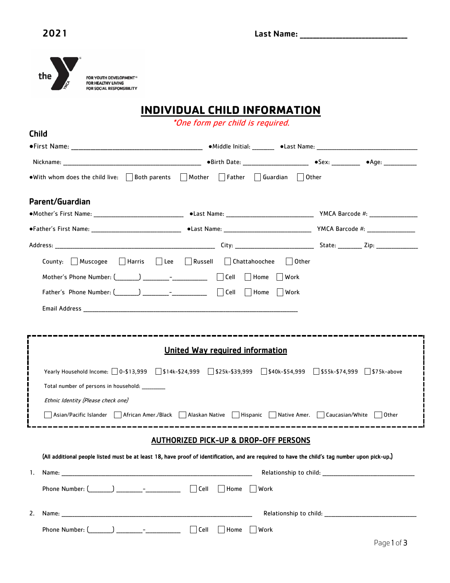

### **INDIVIDUAL CHILD INFORMATION**

\*One form per child is required.

| <b>Child</b>                                                                                                                                                                                                                                                                                                                                                                                                                                                                                                                                        |  |                    |  |  |  |  |
|-----------------------------------------------------------------------------------------------------------------------------------------------------------------------------------------------------------------------------------------------------------------------------------------------------------------------------------------------------------------------------------------------------------------------------------------------------------------------------------------------------------------------------------------------------|--|--------------------|--|--|--|--|
|                                                                                                                                                                                                                                                                                                                                                                                                                                                                                                                                                     |  |                    |  |  |  |  |
|                                                                                                                                                                                                                                                                                                                                                                                                                                                                                                                                                     |  |                    |  |  |  |  |
| • With whom does the child live: $\Box$ Both parents $\Box$ Mother $\Box$ Father $\Box$ Guardian $\Box$ Other                                                                                                                                                                                                                                                                                                                                                                                                                                       |  |                    |  |  |  |  |
| Parent/Guardian                                                                                                                                                                                                                                                                                                                                                                                                                                                                                                                                     |  |                    |  |  |  |  |
|                                                                                                                                                                                                                                                                                                                                                                                                                                                                                                                                                     |  |                    |  |  |  |  |
|                                                                                                                                                                                                                                                                                                                                                                                                                                                                                                                                                     |  |                    |  |  |  |  |
|                                                                                                                                                                                                                                                                                                                                                                                                                                                                                                                                                     |  |                    |  |  |  |  |
| County: Muscogee   Harris   Lee   Russell   Chattahoochee   Other                                                                                                                                                                                                                                                                                                                                                                                                                                                                                   |  |                    |  |  |  |  |
| Mother's Phone Number: (_______) _________- <sup>_</sup> _____________       Cell       Home     Work                                                                                                                                                                                                                                                                                                                                                                                                                                               |  |                    |  |  |  |  |
| Father's Phone Number: $\begin{pmatrix} 1 & 1 \\ 1 & 1 \end{pmatrix}$ $\begin{pmatrix} 1 & 1 \\ 1 & 1 \end{pmatrix}$ Cell $\begin{pmatrix} 1 & 1 \\ 1 & 1 \end{pmatrix}$ Work                                                                                                                                                                                                                                                                                                                                                                       |  |                    |  |  |  |  |
|                                                                                                                                                                                                                                                                                                                                                                                                                                                                                                                                                     |  |                    |  |  |  |  |
|                                                                                                                                                                                                                                                                                                                                                                                                                                                                                                                                                     |  |                    |  |  |  |  |
| <b>United Way required information</b><br>Yearly Household Income: 0-\$13,999 Stak-\$24,999 Stak-\$39,999 Stack-\$54,999 Stack-\$74,999 Stack-\$74,999 Stack-above<br>Total number of persons in household: _________<br>Ethnic Identity (Please check one)<br>$\overline{\phantom{a}}$ Asian/Pacific Islander $\overline{\phantom{a}}$ African Amer./Black $\overline{\phantom{a}}$ Alaskan Native $\overline{\phantom{a}}$ Hispanic $\overline{\phantom{a}}$ Native Amer. $\overline{\phantom{a}}$ Caucasian/White $\overline{\phantom{a}}$ Other |  |                    |  |  |  |  |
| <b>AUTHORIZED PICK-UP &amp; DROP-OFF PERSONS</b>                                                                                                                                                                                                                                                                                                                                                                                                                                                                                                    |  |                    |  |  |  |  |
| (All additional people listed must be at least 18, have proof of identification, and are required to have the child's tag number upon pick-up.)                                                                                                                                                                                                                                                                                                                                                                                                     |  |                    |  |  |  |  |
| 1.                                                                                                                                                                                                                                                                                                                                                                                                                                                                                                                                                  |  |                    |  |  |  |  |
|                                                                                                                                                                                                                                                                                                                                                                                                                                                                                                                                                     |  |                    |  |  |  |  |
| 2.                                                                                                                                                                                                                                                                                                                                                                                                                                                                                                                                                  |  |                    |  |  |  |  |
|                                                                                                                                                                                                                                                                                                                                                                                                                                                                                                                                                     |  | Dogo $1 \circ f$ 2 |  |  |  |  |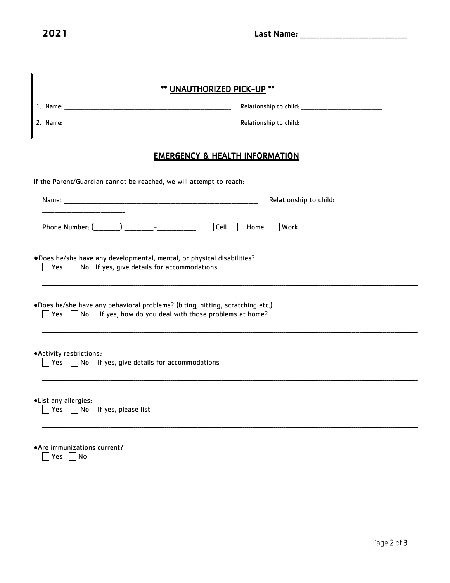|                                                                                                                  | ** UNAUTHORIZED PICK-UP **                                                                                                                                                                                               |  |  |  |
|------------------------------------------------------------------------------------------------------------------|--------------------------------------------------------------------------------------------------------------------------------------------------------------------------------------------------------------------------|--|--|--|
|                                                                                                                  |                                                                                                                                                                                                                          |  |  |  |
|                                                                                                                  |                                                                                                                                                                                                                          |  |  |  |
| <b>EMERGENCY &amp; HEALTH INFORMATION</b><br>If the Parent/Guardian cannot be reached, we will attempt to reach: |                                                                                                                                                                                                                          |  |  |  |
|                                                                                                                  |                                                                                                                                                                                                                          |  |  |  |
|                                                                                                                  | Phone Number: $\begin{pmatrix} 0 & 1 \\ 0 & 1 \end{pmatrix}$ $\begin{pmatrix} 0 & 1 \\ 0 & 1 \end{pmatrix}$ Cell $\begin{pmatrix} 0 & 1 \\ 0 & 1 \end{pmatrix}$ Home $\begin{pmatrix} 0 & 0 \\ 0 & 1 \end{pmatrix}$ Work |  |  |  |
|                                                                                                                  | .Does he/she have any developmental, mental, or physical disabilities?<br>$\vert$ $\vert$ Yes $\vert$ $\vert$ No If yes, give details for accommodations:                                                                |  |  |  |
|                                                                                                                  | .Does he/she have any behavioral problems? (biting, hitting, scratching etc.)<br>$\Box$ Yes $\Box$ No If yes, how do you deal with those problems at home?                                                               |  |  |  |
|                                                                                                                  |                                                                                                                                                                                                                          |  |  |  |
| ·Activity restrictions?                                                                                          | $\Box$ Yes $\Box$ No If yes, give details for accommodations                                                                                                                                                             |  |  |  |